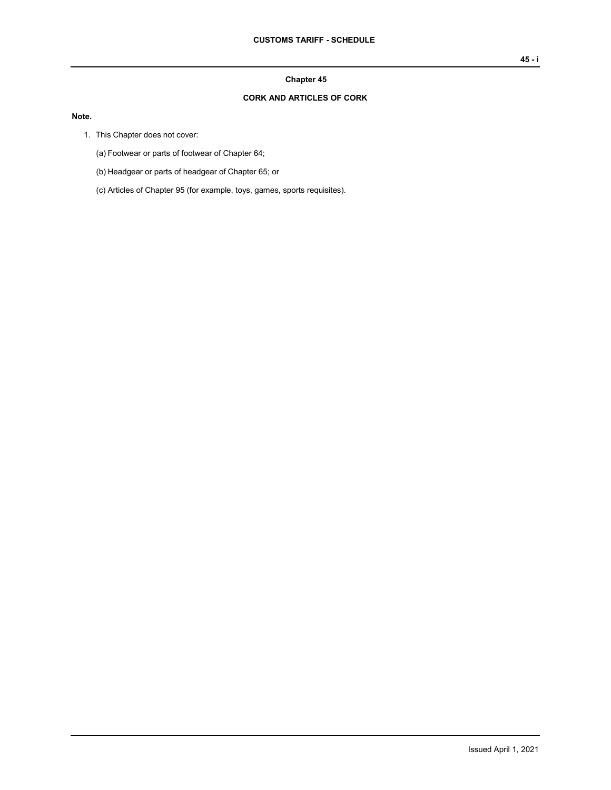## **Chapter 45**

## **CORK AND ARTICLES OF CORK**

## **Note.**

- 1. This Chapter does not cover:
	- (a) Footwear or parts of footwear of Chapter 64;
	- (b) Headgear or parts of headgear of Chapter 65; or
	- (c) Articles of Chapter 95 (for example, toys, games, sports requisites).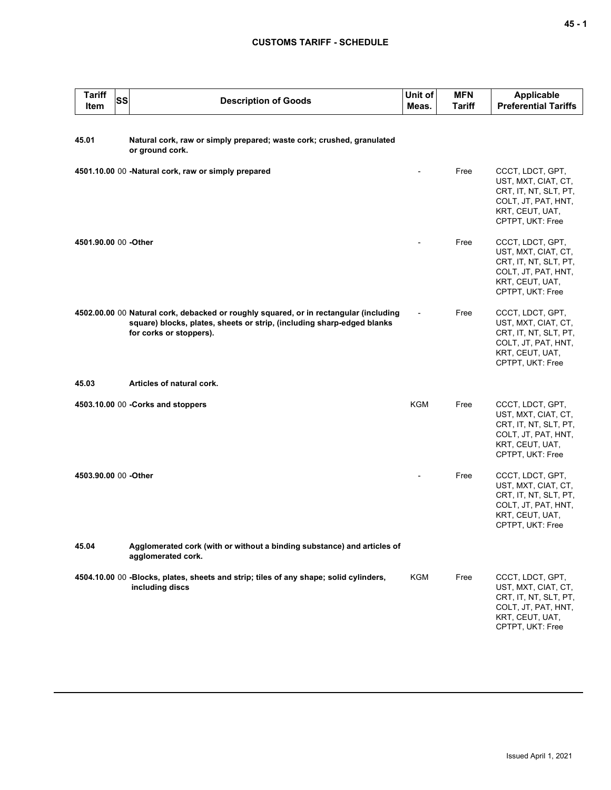## **CUSTOMS TARIFF - SCHEDULE**

| <b>Tariff</b><br>Item | SS | <b>Description of Goods</b>                                                                                                                                                                | Unit of<br>Meas. | <b>MFN</b><br>Tariff | <b>Applicable</b><br><b>Preferential Tariffs</b>                                                                               |
|-----------------------|----|--------------------------------------------------------------------------------------------------------------------------------------------------------------------------------------------|------------------|----------------------|--------------------------------------------------------------------------------------------------------------------------------|
| 45.01                 |    | Natural cork, raw or simply prepared; waste cork; crushed, granulated<br>or ground cork.                                                                                                   |                  |                      |                                                                                                                                |
|                       |    | 4501.10.00 00 -Natural cork, raw or simply prepared                                                                                                                                        |                  | Free                 | CCCT, LDCT, GPT,<br>UST, MXT, CIAT, CT,<br>CRT, IT, NT, SLT, PT,<br>COLT, JT, PAT, HNT,<br>KRT, CEUT, UAT,<br>CPTPT, UKT: Free |
| 4501.90.00 00 -Other  |    |                                                                                                                                                                                            |                  | Free                 | CCCT, LDCT, GPT,<br>UST, MXT, CIAT, CT,<br>CRT, IT, NT, SLT, PT,<br>COLT, JT, PAT, HNT,<br>KRT, CEUT, UAT,<br>CPTPT, UKT: Free |
|                       |    | 4502.00.00 00 Natural cork, debacked or roughly squared, or in rectangular (including<br>square) blocks, plates, sheets or strip, (including sharp-edged blanks<br>for corks or stoppers). |                  | Free                 | CCCT, LDCT, GPT,<br>UST, MXT, CIAT, CT,<br>CRT, IT, NT, SLT, PT,<br>COLT, JT, PAT, HNT,<br>KRT, CEUT, UAT,<br>CPTPT, UKT: Free |
| 45.03                 |    | Articles of natural cork.                                                                                                                                                                  |                  |                      |                                                                                                                                |
|                       |    | 4503.10.00 00 - Corks and stoppers                                                                                                                                                         | KGM              | Free                 | CCCT, LDCT, GPT,<br>UST, MXT, CIAT, CT,<br>CRT, IT, NT, SLT, PT,<br>COLT, JT, PAT, HNT,<br>KRT, CEUT, UAT,<br>CPTPT, UKT: Free |
| 4503.90.00 00 -Other  |    |                                                                                                                                                                                            |                  | Free                 | CCCT, LDCT, GPT,<br>UST, MXT, CIAT, CT,<br>CRT, IT, NT, SLT, PT,<br>COLT, JT, PAT, HNT,<br>KRT, CEUT, UAT,<br>CPTPT, UKT: Free |
| 45.04                 |    | Agglomerated cork (with or without a binding substance) and articles of<br>agglomerated cork.                                                                                              |                  |                      |                                                                                                                                |
|                       |    | 4504.10.00 00 -Blocks, plates, sheets and strip; tiles of any shape; solid cylinders,<br>including discs                                                                                   | <b>KGM</b>       | Free                 | CCCT, LDCT, GPT,<br>UST, MXT, CIAT, CT,<br>CRT, IT, NT, SLT, PT,<br>COLT, JT, PAT, HNT,<br>KRT, CEUT, UAT,<br>CPTPT, UKT: Free |